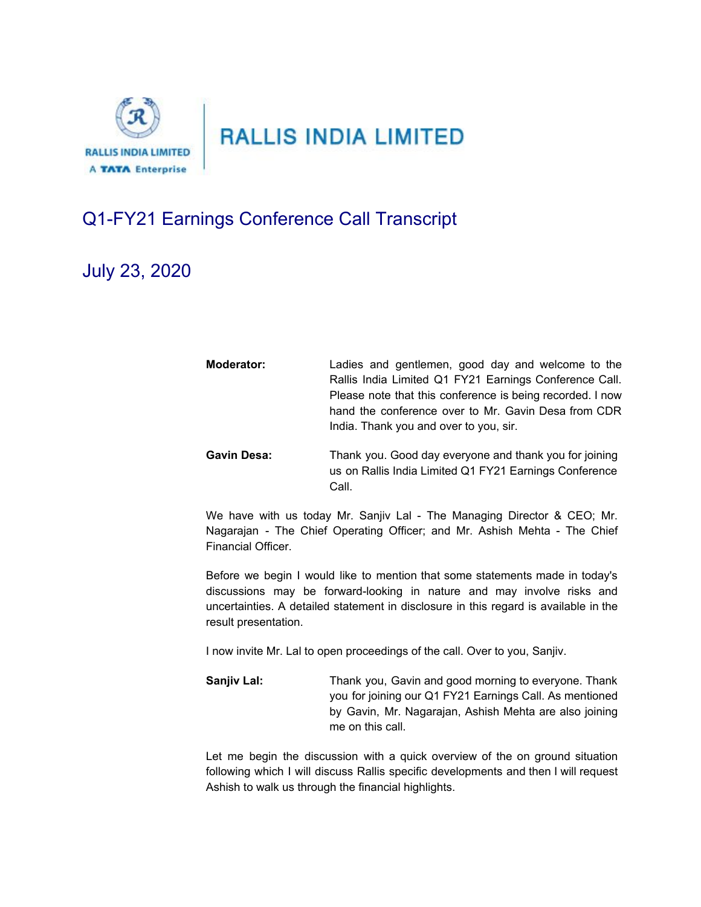

## Q1-FY21 Earnings Conference Call Transcript

Financial Officer.

## July 23, 2020

| Moderator:         | Ladies and gentlemen, good day and welcome to the<br>Rallis India Limited Q1 FY21 Earnings Conference Call.<br>Please note that this conference is being recorded. I now<br>hand the conference over to Mr. Gavin Desa from CDR<br>India. Thank you and over to you, sir. |
|--------------------|---------------------------------------------------------------------------------------------------------------------------------------------------------------------------------------------------------------------------------------------------------------------------|
| <b>Gavin Desa:</b> | Thank you. Good day everyone and thank you for joining<br>us on Rallis India Limited Q1 FY21 Earnings Conference<br>Call.                                                                                                                                                 |
|                    | We have with us today Mr. Sanjiv Lal - The Managing Director & CEO; Mr.<br>Nagarajan - The Chief Operating Officer; and Mr. Ashish Mehta - The Chief                                                                                                                      |

Before we begin I would like to mention that some statements made in today's discussions may be forward-looking in nature and may involve risks and uncertainties. A detailed statement in disclosure in this regard is available in the result presentation.

I now invite Mr. Lal to open proceedings of the call. Over to you, Sanjiv.

**Sanjiv Lal:** Thank you, Gavin and good morning to everyone. Thank you for joining our Q1 FY21 Earnings Call. As mentioned by Gavin, Mr. Nagarajan, Ashish Mehta are also joining me on this call.

Let me begin the discussion with a quick overview of the on ground situation following which I will discuss Rallis specific developments and then I will request Ashish to walk us through the financial highlights.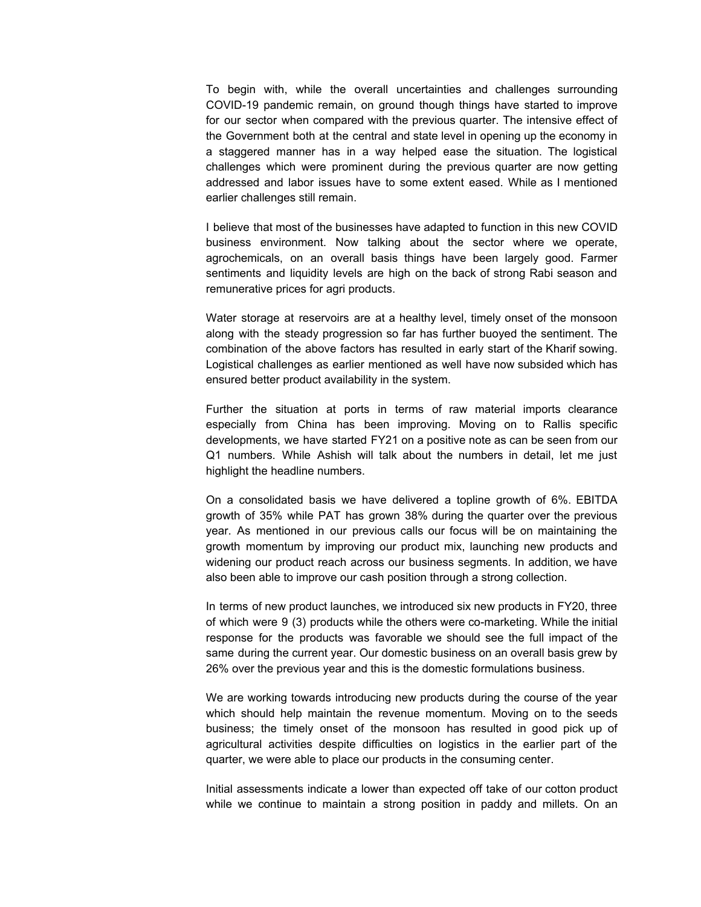To begin with, while the overall uncertainties and challenges surrounding COVID-19 pandemic remain, on ground though things have started to improve for our sector when compared with the previous quarter. The intensive effect of the Government both at the central and state level in opening up the economy in a staggered manner has in a way helped ease the situation. The logistical challenges which were prominent during the previous quarter are now getting addressed and labor issues have to some extent eased. While as I mentioned earlier challenges still remain.

I believe that most of the businesses have adapted to function in this new COVID business environment. Now talking about the sector where we operate, agrochemicals, on an overall basis things have been largely good. Farmer sentiments and liquidity levels are high on the back of strong Rabi season and remunerative prices for agri products.

Water storage at reservoirs are at a healthy level, timely onset of the monsoon along with the steady progression so far has further buoyed the sentiment. The combination of the above factors has resulted in early start of the Kharif sowing. Logistical challenges as earlier mentioned as well have now subsided which has ensured better product availability in the system.

Further the situation at ports in terms of raw material imports clearance especially from China has been improving. Moving on to Rallis specific developments, we have started FY21 on a positive note as can be seen from our Q1 numbers. While Ashish will talk about the numbers in detail, let me just highlight the headline numbers.

On a consolidated basis we have delivered a topline growth of 6%. EBITDA growth of 35% while PAT has grown 38% during the quarter over the previous year. As mentioned in our previous calls our focus will be on maintaining the growth momentum by improving our product mix, launching new products and widening our product reach across our business segments. In addition, we have also been able to improve our cash position through a strong collection.

In terms of new product launches, we introduced six new products in FY20, three of which were 9 (3) products while the others were co-marketing. While the initial response for the products was favorable we should see the full impact of the same during the current year. Our domestic business on an overall basis grew by 26% over the previous year and this is the domestic formulations business.

We are working towards introducing new products during the course of the year which should help maintain the revenue momentum. Moving on to the seeds business; the timely onset of the monsoon has resulted in good pick up of agricultural activities despite difficulties on logistics in the earlier part of the quarter, we were able to place our products in the consuming center.

Initial assessments indicate a lower than expected off take of our cotton product while we continue to maintain a strong position in paddy and millets. On an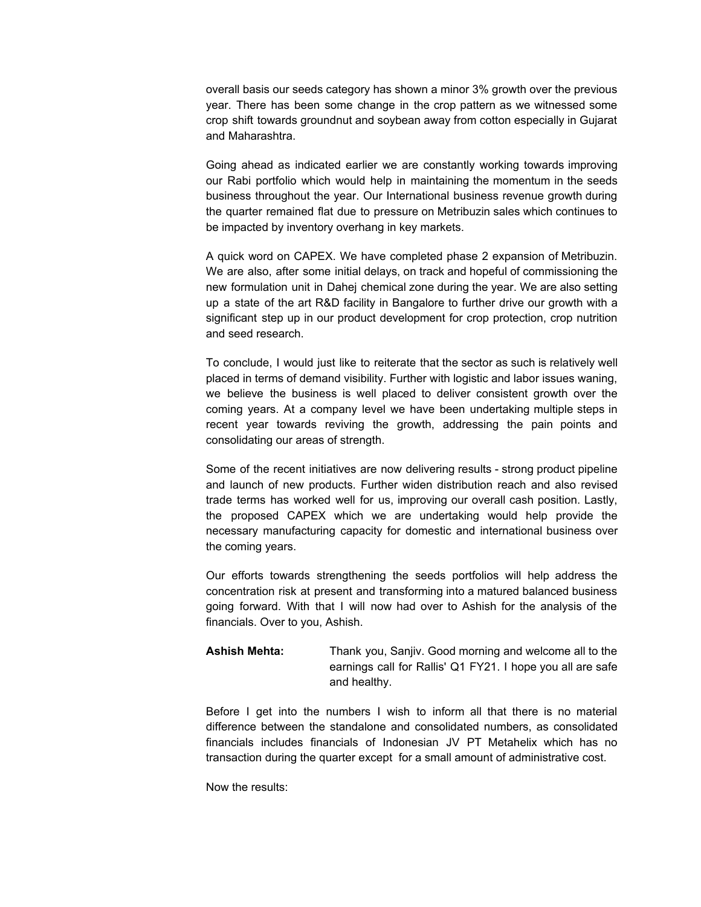overall basis our seeds category has shown a minor 3% growth over the previous year. There has been some change in the crop pattern as we witnessed some crop shift towards groundnut and soybean away from cotton especially in Gujarat and Maharashtra.

Going ahead as indicated earlier we are constantly working towards improving our Rabi portfolio which would help in maintaining the momentum in the seeds business throughout the year. Our International business revenue growth during the quarter remained flat due to pressure on Metribuzin sales which continues to be impacted by inventory overhang in key markets.

A quick word on CAPEX. We have completed phase 2 expansion of Metribuzin. We are also, after some initial delays, on track and hopeful of commissioning the new formulation unit in Dahej chemical zone during the year. We are also setting up a state of the art R&D facility in Bangalore to further drive our growth with a significant step up in our product development for crop protection, crop nutrition and seed research.

To conclude, I would just like to reiterate that the sector as such is relatively well placed in terms of demand visibility. Further with logistic and labor issues waning, we believe the business is well placed to deliver consistent growth over the coming years. At a company level we have been undertaking multiple steps in recent year towards reviving the growth, addressing the pain points and consolidating our areas of strength.

Some of the recent initiatives are now delivering results - strong product pipeline and launch of new products. Further widen distribution reach and also revised trade terms has worked well for us, improving our overall cash position. Lastly, the proposed CAPEX which we are undertaking would help provide the necessary manufacturing capacity for domestic and international business over the coming years.

Our efforts towards strengthening the seeds portfolios will help address the concentration risk at present and transforming into a matured balanced business going forward. With that I will now had over to Ashish for the analysis of the financials. Over to you, Ashish.

## **Ashish Mehta:** Thank you, Sanjiv. Good morning and welcome all to the earnings call for Rallis' Q1 FY21. I hope you all are safe and healthy.

Before I get into the numbers I wish to inform all that there is no material difference between the standalone and consolidated numbers, as consolidated financials includes financials of Indonesian JV PT Metahelix which has no transaction during the quarter except for a small amount of administrative cost.

Now the results: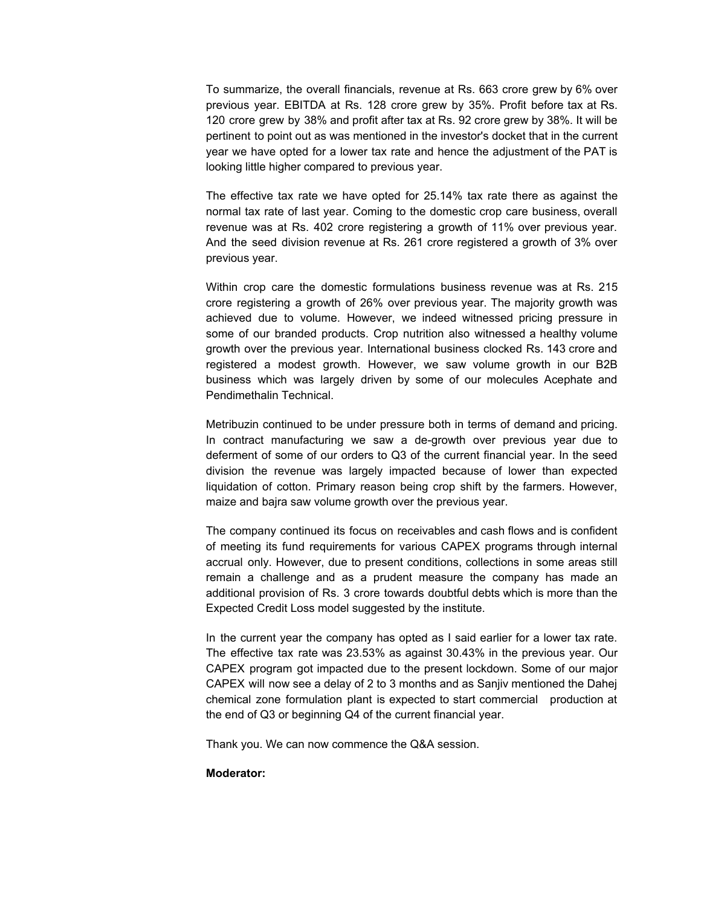To summarize, the overall financials, revenue at Rs. 663 crore grew by 6% over previous year. EBITDA at Rs. 128 crore grew by 35%. Profit before tax at Rs. 120 crore grew by 38% and profit after tax at Rs. 92 crore grew by 38%. It will be pertinent to point out as was mentioned in the investor's docket that in the current year we have opted for a lower tax rate and hence the adjustment of the PAT is looking little higher compared to previous year.

The effective tax rate we have opted for 25.14% tax rate there as against the normal tax rate of last year. Coming to the domestic crop care business, overall revenue was at Rs. 402 crore registering a growth of 11% over previous year. And the seed division revenue at Rs. 261 crore registered a growth of 3% over previous year.

Within crop care the domestic formulations business revenue was at Rs. 215 crore registering a growth of 26% over previous year. The majority growth was achieved due to volume. However, we indeed witnessed pricing pressure in some of our branded products. Crop nutrition also witnessed a healthy volume growth over the previous year. International business clocked Rs. 143 crore and registered a modest growth. However, we saw volume growth in our B2B business which was largely driven by some of our molecules Acephate and Pendimethalin Technical.

Metribuzin continued to be under pressure both in terms of demand and pricing. In contract manufacturing we saw a de-growth over previous year due to deferment of some of our orders to Q3 of the current financial year. In the seed division the revenue was largely impacted because of lower than expected liquidation of cotton. Primary reason being crop shift by the farmers. However, maize and bajra saw volume growth over the previous year.

The company continued its focus on receivables and cash flows and is confident of meeting its fund requirements for various CAPEX programs through internal accrual only. However, due to present conditions, collections in some areas still remain a challenge and as a prudent measure the company has made an additional provision of Rs. 3 crore towards doubtful debts which is more than the Expected Credit Loss model suggested by the institute.

In the current year the company has opted as I said earlier for a lower tax rate. The effective tax rate was 23.53% as against 30.43% in the previous year. Our CAPEX program got impacted due to the present lockdown. Some of our major CAPEX will now see a delay of 2 to 3 months and as Sanjiv mentioned the Dahej chemical zone formulation plant is expected to start commercial production at the end of Q3 or beginning Q4 of the current financial year.

Thank you. We can now commence the Q&A session.

## **Moderator:**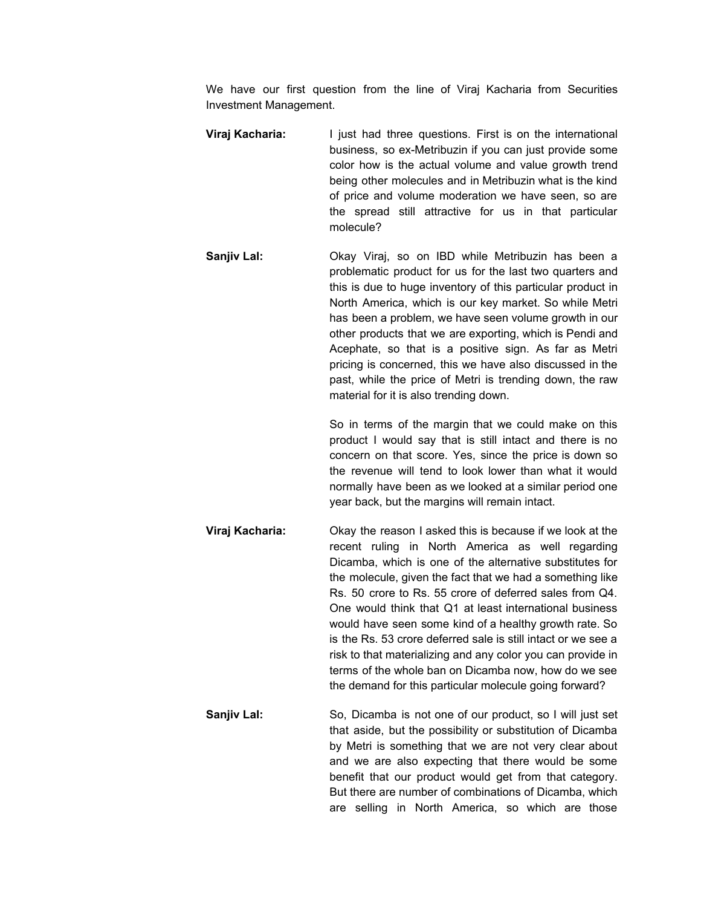We have our first question from the line of Viraj Kacharia from Securities Investment Management.

- **Viraj Kacharia:** I just had three questions. First is on the international business, so ex-Metribuzin if you can just provide some color how is the actual volume and value growth trend being other molecules and in Metribuzin what is the kind of price and volume moderation we have seen, so are the spread still attractive for us in that particular molecule?
- **Sanjiv Lal:** Okay Viraj, so on IBD while Metribuzin has been a problematic product for us for the last two quarters and this is due to huge inventory of this particular product in North America, which is our key market. So while Metri has been a problem, we have seen volume growth in our other products that we are exporting, which is Pendi and Acephate, so that is a positive sign. As far as Metri pricing is concerned, this we have also discussed in the past, while the price of Metri is trending down, the raw material for it is also trending down.

So in terms of the margin that we could make on this product I would say that is still intact and there is no concern on that score. Yes, since the price is down so the revenue will tend to look lower than what it would normally have been as we looked at a similar period one year back, but the margins will remain intact.

- **Viraj Kacharia:** Okay the reason I asked this is because if we look at the recent ruling in North America as well regarding Dicamba, which is one of the alternative substitutes for the molecule, given the fact that we had a something like Rs. 50 crore to Rs. 55 crore of deferred sales from Q4. One would think that Q1 at least international business would have seen some kind of a healthy growth rate. So is the Rs. 53 crore deferred sale is still intact or we see a risk to that materializing and any color you can provide in terms of the whole ban on Dicamba now, how do we see the demand for this particular molecule going forward?
- **Sanjiv Lal:** So, Dicamba is not one of our product, so I will just set that aside, but the possibility or substitution of Dicamba by Metri is something that we are not very clear about and we are also expecting that there would be some benefit that our product would get from that category. But there are number of combinations of Dicamba, which are selling in North America, so which are those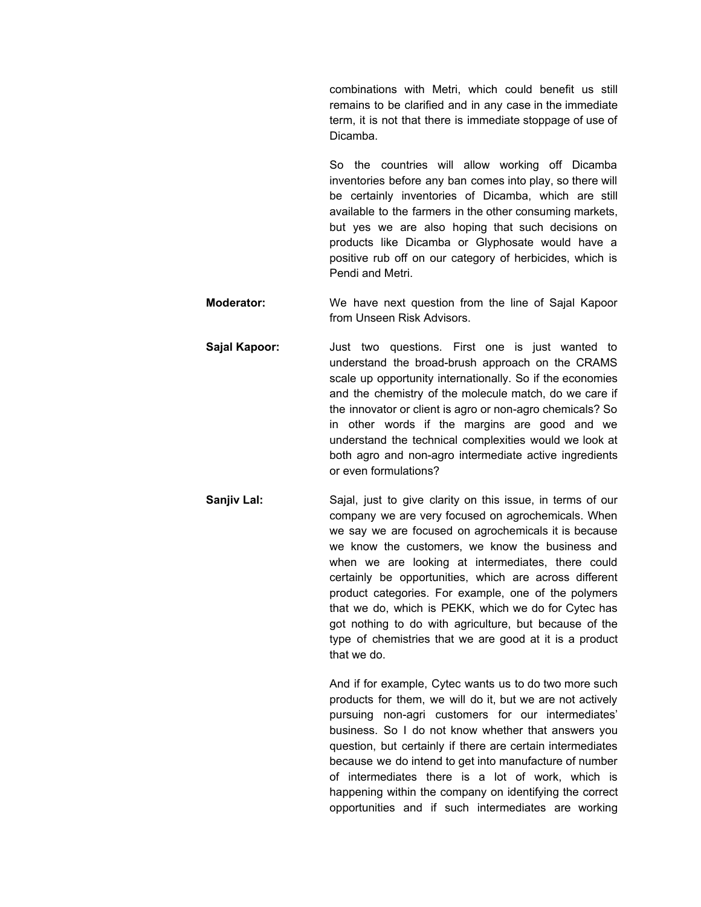combinations with Metri, which could benefit us still remains to be clarified and in any case in the immediate term, it is not that there is immediate stoppage of use of Dicamba.

So the countries will allow working off Dicamba inventories before any ban comes into play, so there will be certainly inventories of Dicamba, which are still available to the farmers in the other consuming markets, but yes we are also hoping that such decisions on products like Dicamba or Glyphosate would have a positive rub off on our category of herbicides, which is Pendi and Metri.

- **Moderator:** We have next question from the line of Sajal Kapoor from Unseen Risk Advisors.
- **Sajal Kapoor:** Just two questions. First one is just wanted to understand the broad-brush approach on the CRAMS scale up opportunity internationally. So if the economies and the chemistry of the molecule match, do we care if the innovator or client is agro or non-agro chemicals? So in other words if the margins are good and we understand the technical complexities would we look at both agro and non-agro intermediate active ingredients or even formulations?
- **Sanjiv Lal:** Sajal, just to give clarity on this issue, in terms of our company we are very focused on agrochemicals. When we say we are focused on agrochemicals it is because we know the customers, we know the business and when we are looking at intermediates, there could certainly be opportunities, which are across different product categories. For example, one of the polymers that we do, which is PEKK, which we do for Cytec has got nothing to do with agriculture, but because of the type of chemistries that we are good at it is a product that we do.

And if for example, Cytec wants us to do two more such products for them, we will do it, but we are not actively pursuing non-agri customers for our intermediates' business. So I do not know whether that answers you question, but certainly if there are certain intermediates because we do intend to get into manufacture of number of intermediates there is a lot of work, which is happening within the company on identifying the correct opportunities and if such intermediates are working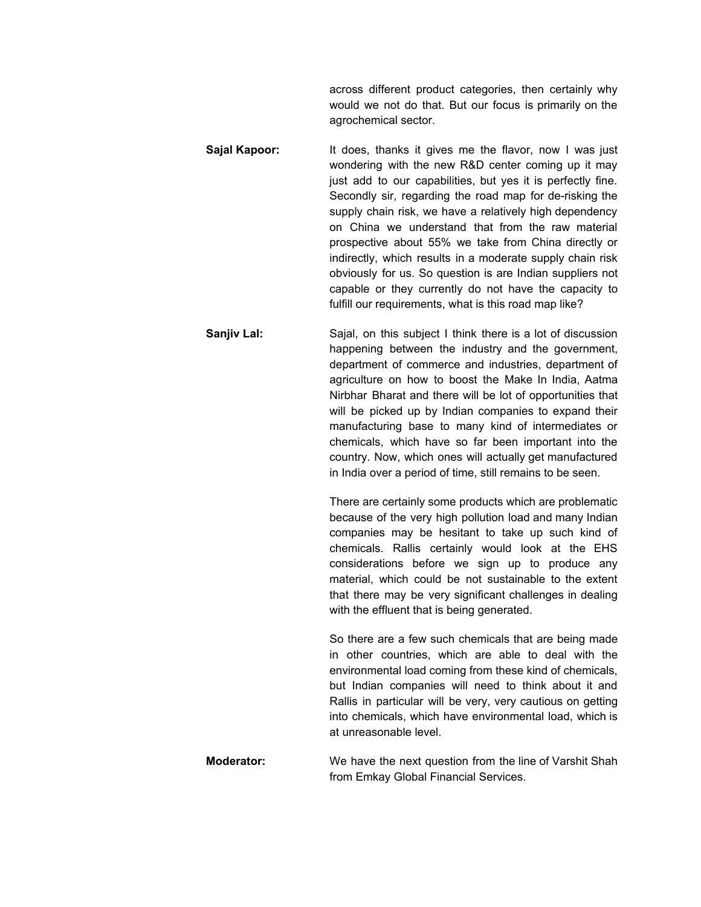across different product categories, then certainly why would we not do that. But our focus is primarily on the agrochemical sector.

- **Sajal Kapoor:** It does, thanks it gives me the flavor, now I was just wondering with the new R&D center coming up it may just add to our capabilities, but yes it is perfectly fine. Secondly sir, regarding the road map for de-risking the supply chain risk, we have a relatively high dependency on China we understand that from the raw material prospective about 55% we take from China directly or indirectly, which results in a moderate supply chain risk obviously for us. So question is are Indian suppliers not capable or they currently do not have the capacity to fulfill our requirements, what is this road map like?
- **Sanjiv Lal:** Sajal, on this subject I think there is a lot of discussion happening between the industry and the government, department of commerce and industries, department of agriculture on how to boost the Make In India, Aatma Nirbhar Bharat and there will be lot of opportunities that will be picked up by Indian companies to expand their manufacturing base to many kind of intermediates or chemicals, which have so far been important into the country. Now, which ones will actually get manufactured in India over a period of time, still remains to be seen.

There are certainly some products which are problematic because of the very high pollution load and many Indian companies may be hesitant to take up such kind of chemicals. Rallis certainly would look at the EHS considerations before we sign up to produce any material, which could be not sustainable to the extent that there may be very significant challenges in dealing with the effluent that is being generated.

So there are a few such chemicals that are being made in other countries, which are able to deal with the environmental load coming from these kind of chemicals, but Indian companies will need to think about it and Rallis in particular will be very, very cautious on getting into chemicals, which have environmental load, which is at unreasonable level.

**Moderator:** We have the next question from the line of Varshit Shah from Emkay Global Financial Services.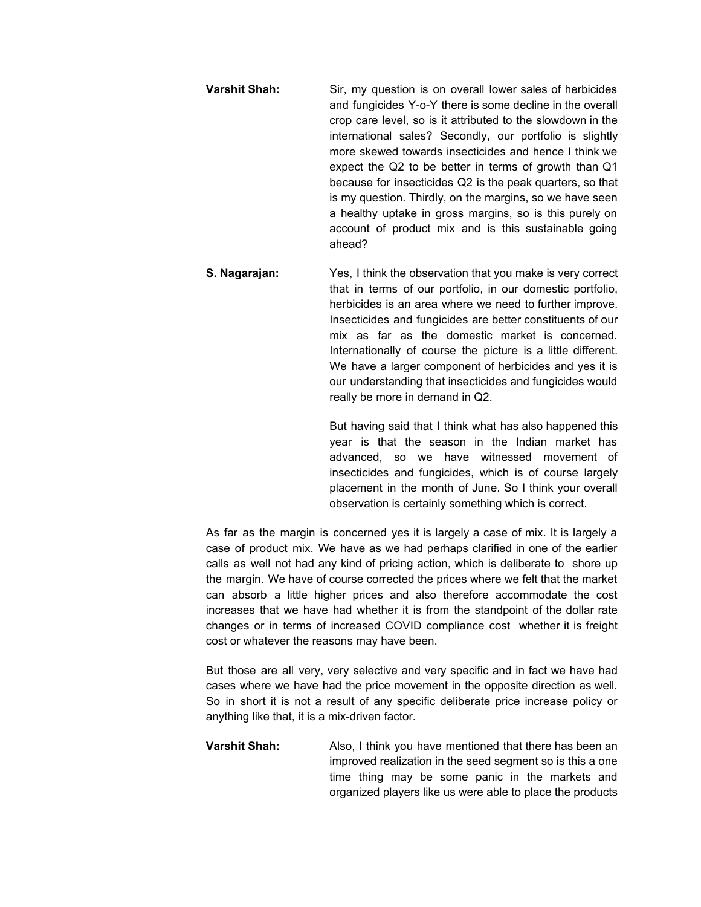- **Varshit Shah:** Sir, my question is on overall lower sales of herbicides and fungicides Y-o-Y there is some decline in the overall crop care level, so is it attributed to the slowdown in the international sales? Secondly, our portfolio is slightly more skewed towards insecticides and hence I think we expect the Q2 to be better in terms of growth than Q1 because for insecticides Q2 is the peak quarters, so that is my question. Thirdly, on the margins, so we have seen a healthy uptake in gross margins, so is this purely on account of product mix and is this sustainable going ahead?
- **S. Nagarajan:** Yes, I think the observation that you make is very correct that in terms of our portfolio, in our domestic portfolio, herbicides is an area where we need to further improve. Insecticides and fungicides are better constituents of our mix as far as the domestic market is concerned. Internationally of course the picture is a little different. We have a larger component of herbicides and yes it is our understanding that insecticides and fungicides would really be more in demand in Q2.

But having said that I think what has also happened this year is that the season in the Indian market has advanced, so we have witnessed movement of insecticides and fungicides, which is of course largely placement in the month of June. So I think your overall observation is certainly something which is correct.

As far as the margin is concerned yes it is largely a case of mix. It is largely a case of product mix. We have as we had perhaps clarified in one of the earlier calls as well not had any kind of pricing action, which is deliberate to shore up the margin. We have of course corrected the prices where we felt that the market can absorb a little higher prices and also therefore accommodate the cost increases that we have had whether it is from the standpoint of the dollar rate changes or in terms of increased COVID compliance cost whether it is freight cost or whatever the reasons may have been.

But those are all very, very selective and very specific and in fact we have had cases where we have had the price movement in the opposite direction as well. So in short it is not a result of any specific deliberate price increase policy or anything like that, it is a mix-driven factor.

**Varshit Shah:** Also, I think you have mentioned that there has been an improved realization in the seed segment so is this a one time thing may be some panic in the markets and organized players like us were able to place the products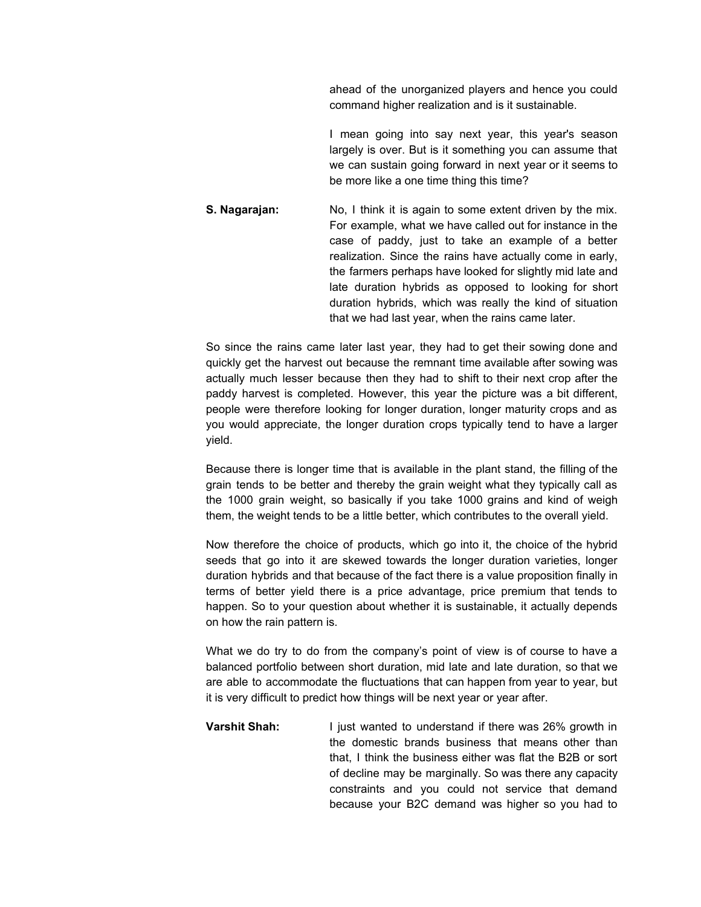ahead of the unorganized players and hence you could command higher realization and is it sustainable.

I mean going into say next year, this year's season largely is over. But is it something you can assume that we can sustain going forward in next year or it seems to be more like a one time thing this time?

**S. Nagarajan:** No, I think it is again to some extent driven by the mix. For example, what we have called out for instance in the case of paddy, just to take an example of a better realization. Since the rains have actually come in early, the farmers perhaps have looked for slightly mid late and late duration hybrids as opposed to looking for short duration hybrids, which was really the kind of situation that we had last year, when the rains came later.

So since the rains came later last year, they had to get their sowing done and quickly get the harvest out because the remnant time available after sowing was actually much lesser because then they had to shift to their next crop after the paddy harvest is completed. However, this year the picture was a bit different, people were therefore looking for longer duration, longer maturity crops and as you would appreciate, the longer duration crops typically tend to have a larger yield.

Because there is longer time that is available in the plant stand, the filling of the grain tends to be better and thereby the grain weight what they typically call as the 1000 grain weight, so basically if you take 1000 grains and kind of weigh them, the weight tends to be a little better, which contributes to the overall yield.

Now therefore the choice of products, which go into it, the choice of the hybrid seeds that go into it are skewed towards the longer duration varieties, longer duration hybrids and that because of the fact there is a value proposition finally in terms of better yield there is a price advantage, price premium that tends to happen. So to your question about whether it is sustainable, it actually depends on how the rain pattern is.

What we do try to do from the company's point of view is of course to have a balanced portfolio between short duration, mid late and late duration, so that we are able to accommodate the fluctuations that can happen from year to year, but it is very difficult to predict how things will be next year or year after.

**Varshit Shah:** I just wanted to understand if there was 26% growth in the domestic brands business that means other than that, I think the business either was flat the B2B or sort of decline may be marginally. So was there any capacity constraints and you could not service that demand because your B2C demand was higher so you had to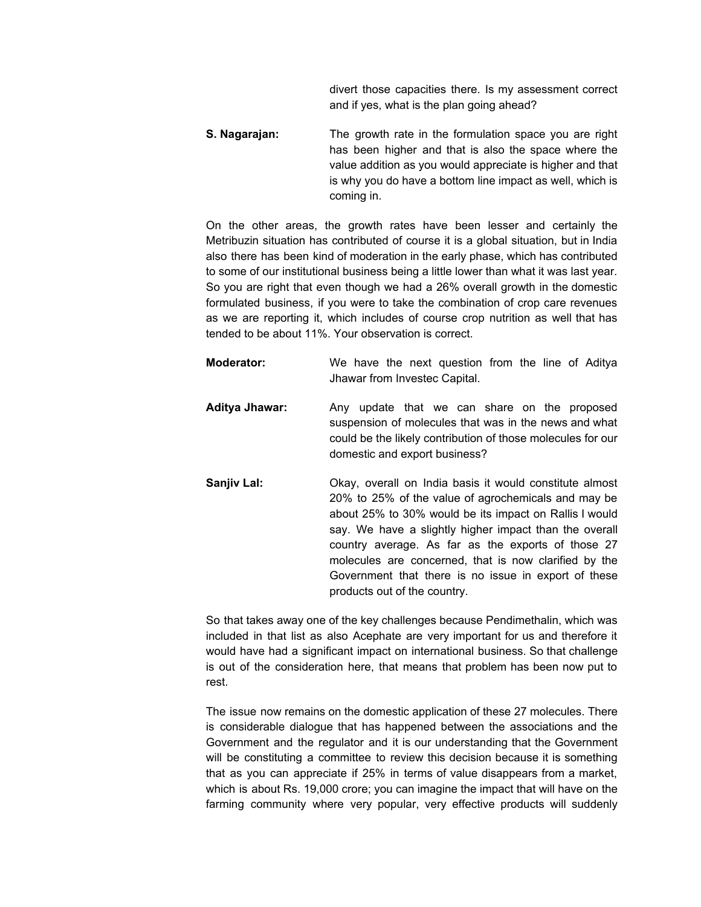divert those capacities there. Is my assessment correct and if yes, what is the plan going ahead?

**S. Nagarajan:** The growth rate in the formulation space you are right has been higher and that is also the space where the value addition as you would appreciate is higher and that is why you do have a bottom line impact as well, which is coming in.

On the other areas, the growth rates have been lesser and certainly the Metribuzin situation has contributed of course it is a global situation, but in India also there has been kind of moderation in the early phase, which has contributed to some of our institutional business being a little lower than what it was last year. So you are right that even though we had a 26% overall growth in the domestic formulated business, if you were to take the combination of crop care revenues as we are reporting it, which includes of course crop nutrition as well that has tended to be about 11%. Your observation is correct.

**Moderator:** We have the next question from the line of Aditya Jhawar from Investec Capital. **Aditya Jhawar:** Any update that we can share on the proposed suspension of molecules that was in the news and what could be the likely contribution of those molecules for our domestic and export business? **Sanjiv Lal:** Okay, overall on India basis it would constitute almost 20% to 25% of the value of agrochemicals and may be about 25% to 30% would be its impact on Rallis I would say. We have a slightly higher impact than the overall country average. As far as the exports of those 27 molecules are concerned, that is now clarified by the Government that there is no issue in export of these products out of the country.

So that takes away one of the key challenges because Pendimethalin, which was included in that list as also Acephate are very important for us and therefore it would have had a significant impact on international business. So that challenge is out of the consideration here, that means that problem has been now put to rest.

The issue now remains on the domestic application of these 27 molecules. There is considerable dialogue that has happened between the associations and the Government and the regulator and it is our understanding that the Government will be constituting a committee to review this decision because it is something that as you can appreciate if 25% in terms of value disappears from a market, which is about Rs. 19,000 crore; you can imagine the impact that will have on the farming community where very popular, very effective products will suddenly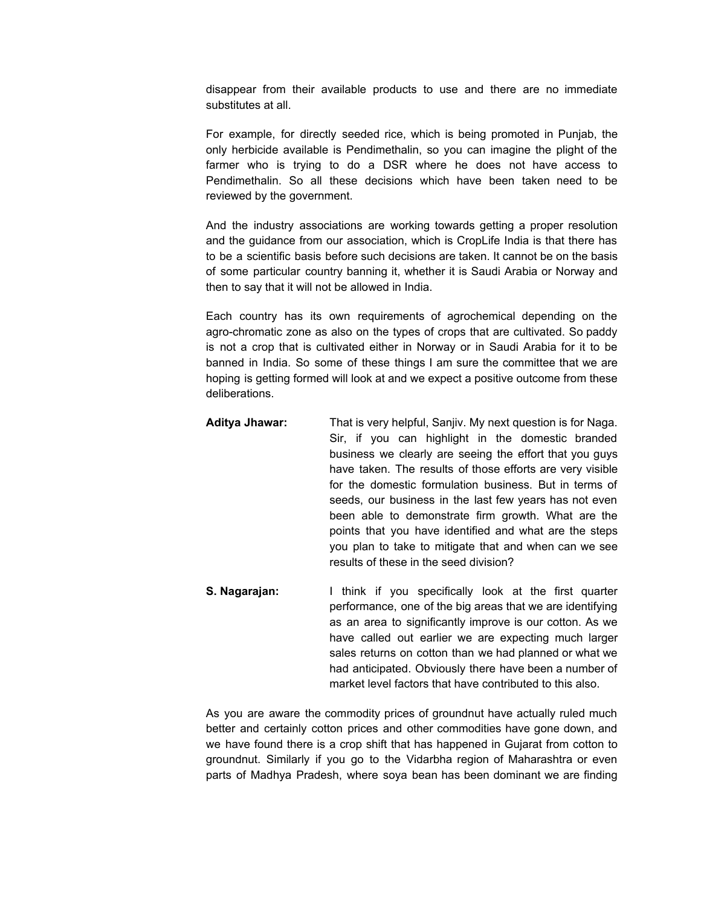disappear from their available products to use and there are no immediate substitutes at all.

For example, for directly seeded rice, which is being promoted in Punjab, the only herbicide available is Pendimethalin, so you can imagine the plight of the farmer who is trying to do a DSR where he does not have access to Pendimethalin. So all these decisions which have been taken need to be reviewed by the government.

And the industry associations are working towards getting a proper resolution and the guidance from our association, which is CropLife India is that there has to be a scientific basis before such decisions are taken. It cannot be on the basis of some particular country banning it, whether it is Saudi Arabia or Norway and then to say that it will not be allowed in India.

Each country has its own requirements of agrochemical depending on the agro-chromatic zone as also on the types of crops that are cultivated. So paddy is not a crop that is cultivated either in Norway or in Saudi Arabia for it to be banned in India. So some of these things I am sure the committee that we are hoping is getting formed will look at and we expect a positive outcome from these deliberations.

- **Aditya Jhawar:** That is very helpful, Sanjiv. My next question is for Naga. Sir, if you can highlight in the domestic branded business we clearly are seeing the effort that you guys have taken. The results of those efforts are very visible for the domestic formulation business. But in terms of seeds, our business in the last few years has not even been able to demonstrate firm growth. What are the points that you have identified and what are the steps you plan to take to mitigate that and when can we see results of these in the seed division?
- **S. Nagarajan:** I think if you specifically look at the first quarter performance, one of the big areas that we are identifying as an area to significantly improve is our cotton. As we have called out earlier we are expecting much larger sales returns on cotton than we had planned or what we had anticipated. Obviously there have been a number of market level factors that have contributed to this also.

As you are aware the commodity prices of groundnut have actually ruled much better and certainly cotton prices and other commodities have gone down, and we have found there is a crop shift that has happened in Gujarat from cotton to groundnut. Similarly if you go to the Vidarbha region of Maharashtra or even parts of Madhya Pradesh, where soya bean has been dominant we are finding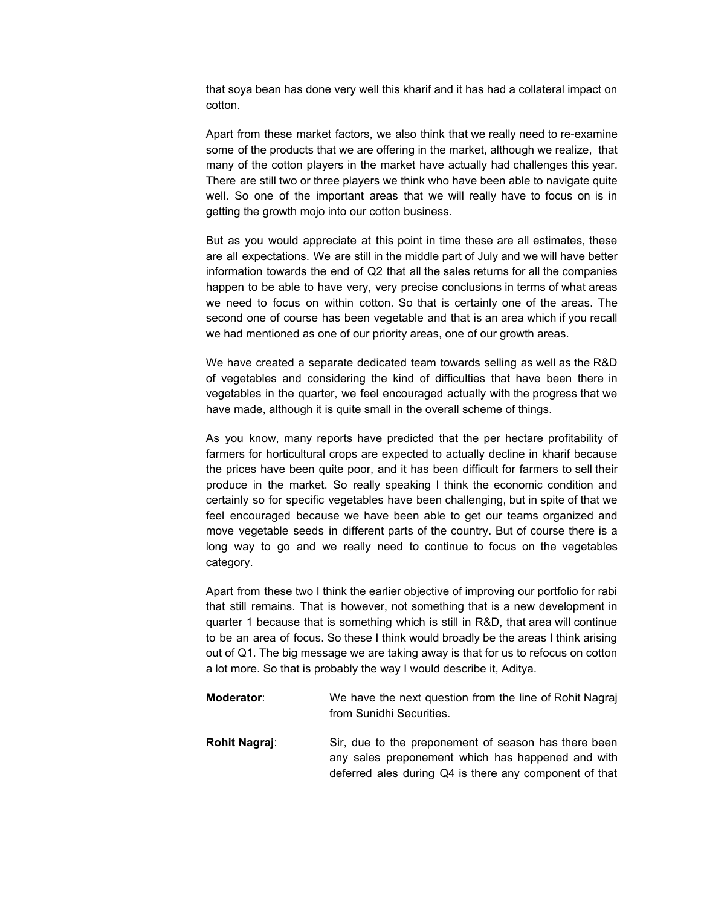that soya bean has done very well this kharif and it has had a collateral impact on cotton.

Apart from these market factors, we also think that we really need to re-examine some of the products that we are offering in the market, although we realize, that many of the cotton players in the market have actually had challenges this year. There are still two or three players we think who have been able to navigate quite well. So one of the important areas that we will really have to focus on is in getting the growth mojo into our cotton business.

But as you would appreciate at this point in time these are all estimates, these are all expectations. We are still in the middle part of July and we will have better information towards the end of Q2 that all the sales returns for all the companies happen to be able to have very, very precise conclusions in terms of what areas we need to focus on within cotton. So that is certainly one of the areas. The second one of course has been vegetable and that is an area which if you recall we had mentioned as one of our priority areas, one of our growth areas.

We have created a separate dedicated team towards selling as well as the R&D of vegetables and considering the kind of difficulties that have been there in vegetables in the quarter, we feel encouraged actually with the progress that we have made, although it is quite small in the overall scheme of things.

As you know, many reports have predicted that the per hectare profitability of farmers for horticultural crops are expected to actually decline in kharif because the prices have been quite poor, and it has been difficult for farmers to sell their produce in the market. So really speaking I think the economic condition and certainly so for specific vegetables have been challenging, but in spite of that we feel encouraged because we have been able to get our teams organized and move vegetable seeds in different parts of the country. But of course there is a long way to go and we really need to continue to focus on the vegetables category.

Apart from these two I think the earlier objective of improving our portfolio for rabi that still remains. That is however, not something that is a new development in quarter 1 because that is something which is still in R&D, that area will continue to be an area of focus. So these I think would broadly be the areas I think arising out of Q1. The big message we are taking away is that for us to refocus on cotton a lot more. So that is probably the way I would describe it, Aditya.

**Moderator:** We have the next question from the line of Rohit Nagraj from Sunidhi Securities. **Rohit Nagraj:** Sir, due to the preponement of season has there been any sales preponement which has happened and with deferred ales during Q4 is there any component of that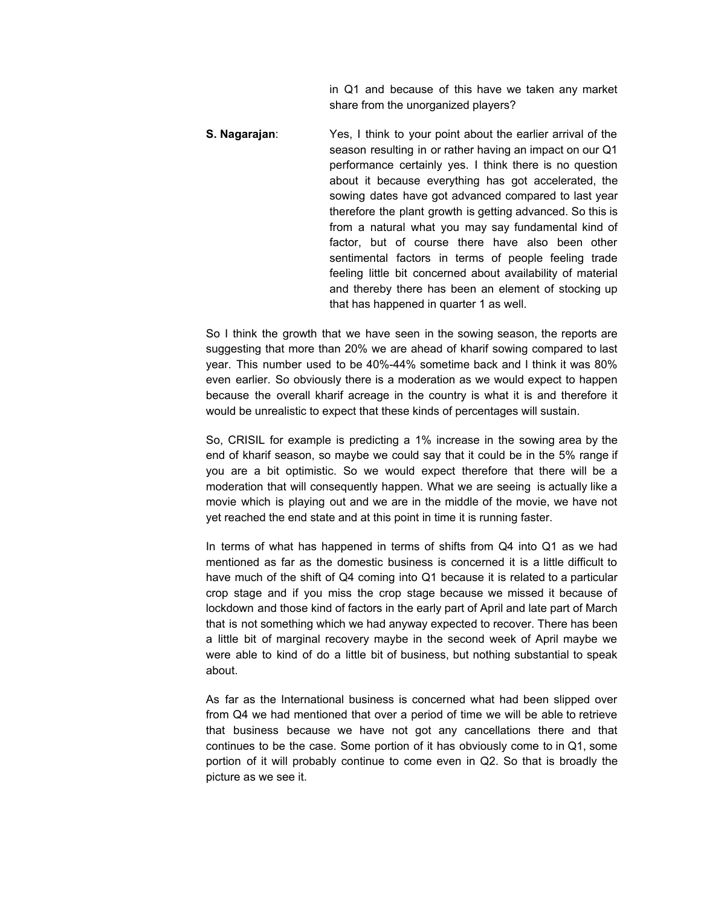in Q1 and because of this have we taken any market share from the unorganized players?

**S. Nagarajan**: Yes, I think to your point about the earlier arrival of the season resulting in or rather having an impact on our Q1 performance certainly yes. I think there is no question about it because everything has got accelerated, the sowing dates have got advanced compared to last year therefore the plant growth is getting advanced. So this is from a natural what you may say fundamental kind of factor, but of course there have also been other sentimental factors in terms of people feeling trade feeling little bit concerned about availability of material and thereby there has been an element of stocking up that has happened in quarter 1 as well.

So I think the growth that we have seen in the sowing season, the reports are suggesting that more than 20% we are ahead of kharif sowing compared to last year. This number used to be 40%-44% sometime back and I think it was 80% even earlier. So obviously there is a moderation as we would expect to happen because the overall kharif acreage in the country is what it is and therefore it would be unrealistic to expect that these kinds of percentages will sustain.

So, CRISIL for example is predicting a 1% increase in the sowing area by the end of kharif season, so maybe we could say that it could be in the 5% range if you are a bit optimistic. So we would expect therefore that there will be a moderation that will consequently happen. What we are seeing is actually like a movie which is playing out and we are in the middle of the movie, we have not yet reached the end state and at this point in time it is running faster.

In terms of what has happened in terms of shifts from Q4 into Q1 as we had mentioned as far as the domestic business is concerned it is a little difficult to have much of the shift of Q4 coming into Q1 because it is related to a particular crop stage and if you miss the crop stage because we missed it because of lockdown and those kind of factors in the early part of April and late part of March that is not something which we had anyway expected to recover. There has been a little bit of marginal recovery maybe in the second week of April maybe we were able to kind of do a little bit of business, but nothing substantial to speak about.

As far as the International business is concerned what had been slipped over from Q4 we had mentioned that over a period of time we will be able to retrieve that business because we have not got any cancellations there and that continues to be the case. Some portion of it has obviously come to in Q1, some portion of it will probably continue to come even in Q2. So that is broadly the picture as we see it.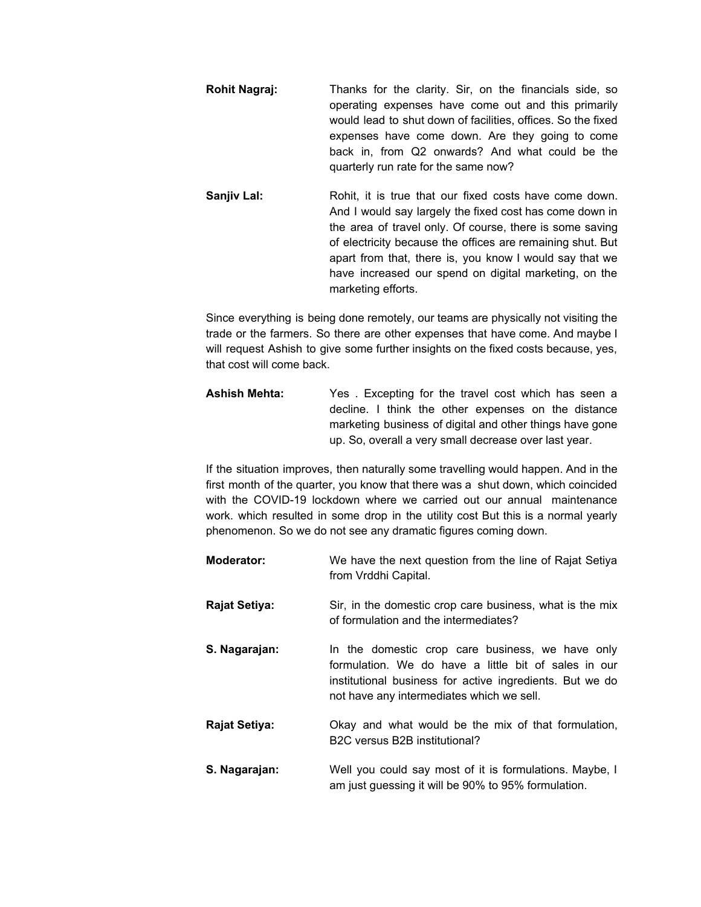**Rohit Nagraj:** Thanks for the clarity. Sir, on the financials side, so operating expenses have come out and this primarily would lead to shut down of facilities, offices. So the fixed expenses have come down. Are they going to come back in, from Q2 onwards? And what could be the quarterly run rate for the same now?

**Sanjiv Lal:** Rohit, it is true that our fixed costs have come down. And I would say largely the fixed cost has come down in the area of travel only. Of course, there is some saving of electricity because the offices are remaining shut. But apart from that, there is, you know I would say that we have increased our spend on digital marketing, on the marketing efforts.

Since everything is being done remotely, our teams are physically not visiting the trade or the farmers. So there are other expenses that have come. And maybe I will request Ashish to give some further insights on the fixed costs because, yes, that cost will come back.

**Ashish Mehta:** Yes . Excepting for the travel cost which has seen a decline. I think the other expenses on the distance marketing business of digital and other things have gone up. So, overall a very small decrease over last year.

If the situation improves, then naturally some travelling would happen. And in the first month of the quarter, you know that there was a shut down, which coincided with the COVID-19 lockdown where we carried out our annual maintenance work. which resulted in some drop in the utility cost But this is a normal yearly phenomenon. So we do not see any dramatic figures coming down.

| <b>Moderator:</b>    | We have the next question from the line of Rajat Setiya<br>from Vrddhi Capital.                                                                                                                                   |
|----------------------|-------------------------------------------------------------------------------------------------------------------------------------------------------------------------------------------------------------------|
| <b>Rajat Setiya:</b> | Sir, in the domestic crop care business, what is the mix<br>of formulation and the intermediates?                                                                                                                 |
| S. Nagarajan:        | In the domestic crop care business, we have only<br>formulation. We do have a little bit of sales in our<br>institutional business for active ingredients. But we do<br>not have any intermediates which we sell. |
| <b>Rajat Setiya:</b> | Okay and what would be the mix of that formulation,<br>B2C versus B2B institutional?                                                                                                                              |
| S. Nagarajan:        | Well you could say most of it is formulations. Maybe, I<br>am just guessing it will be 90% to 95% formulation.                                                                                                    |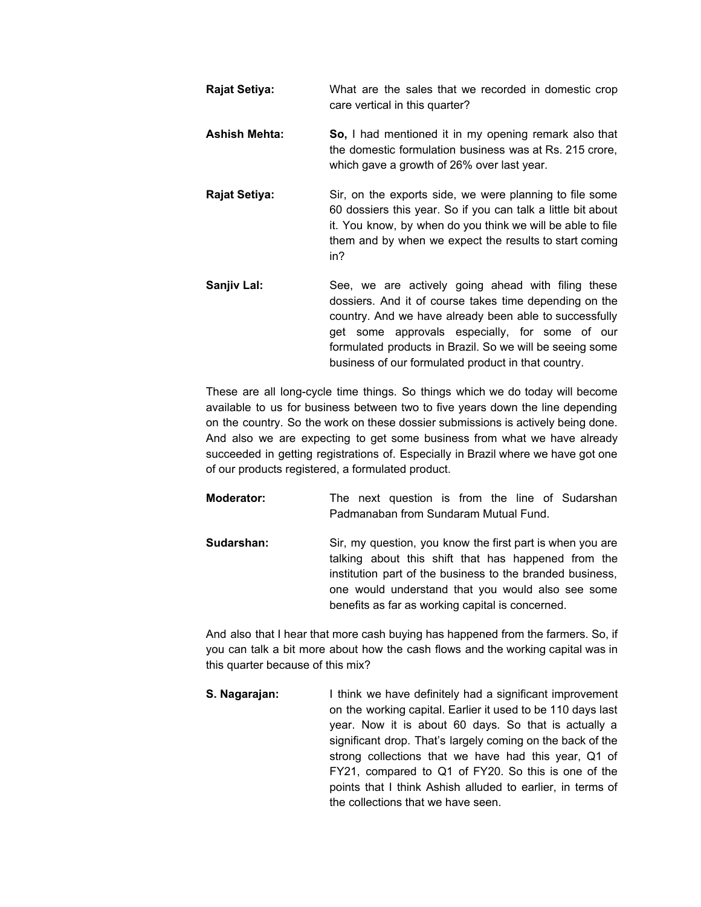**Rajat Setiya:** What are the sales that we recorded in domestic crop care vertical in this quarter? **Ashish Mehta: So,** I had mentioned it in my opening remark also that the domestic formulation business was at Rs. 215 crore, which gave a growth of 26% over last year. **Rajat Setiya:** Sir, on the exports side, we were planning to file some 60 dossiers this year. So if you can talk a little bit about it. You know, by when do you think we will be able to file them and by when we expect the results to start coming in? **Sanjiv Lal:** See, we are actively going ahead with filing these dossiers. And it of course takes time depending on the country. And we have already been able to successfully get some approvals especially, for some of our formulated products in Brazil. So we will be seeing some

These are all long-cycle time things. So things which we do today will become available to us for business between two to five years down the line depending on the country. So the work on these dossier submissions is actively being done. And also we are expecting to get some business from what we have already succeeded in getting registrations of. Especially in Brazil where we have got one of our products registered, a formulated product.

business of our formulated product in that country.

**Moderator:** The next question is from the line of Sudarshan Padmanaban from Sundaram Mutual Fund. **Sudarshan:** Sir, my question, you know the first part is when you are

talking about this shift that has happened from the institution part of the business to the branded business, one would understand that you would also see some benefits as far as working capital is concerned.

And also that I hear that more cash buying has happened from the farmers. So, if you can talk a bit more about how the cash flows and the working capital was in this quarter because of this mix?

**S. Nagarajan:** I think we have definitely had a significant improvement on the working capital. Earlier it used to be 110 days last year. Now it is about 60 days. So that is actually a significant drop. That's largely coming on the back of the strong collections that we have had this year, Q1 of FY21, compared to Q1 of FY20. So this is one of the points that I think Ashish alluded to earlier, in terms of the collections that we have seen.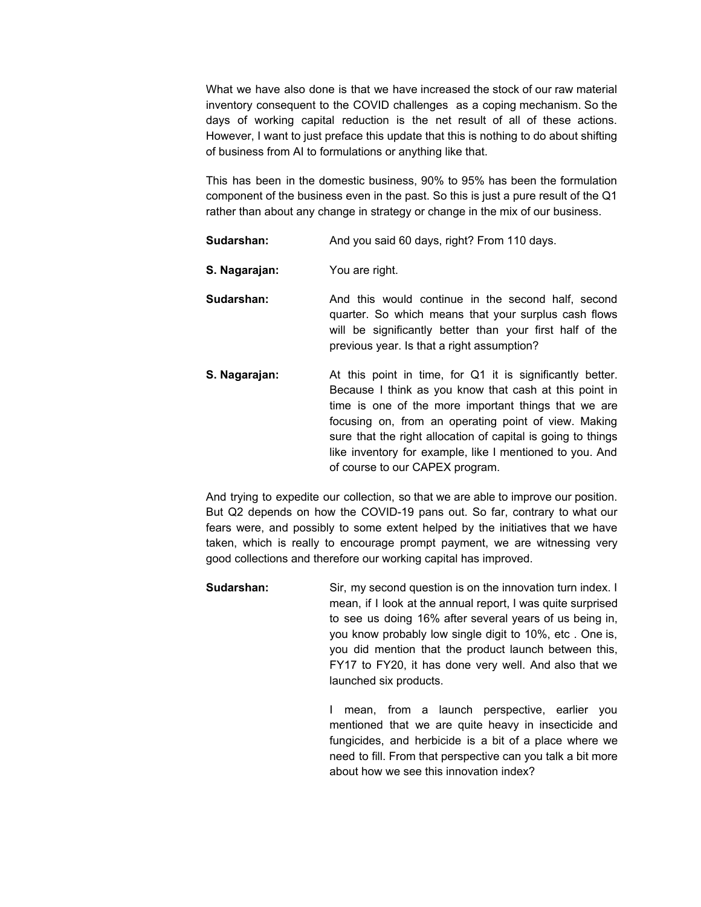What we have also done is that we have increased the stock of our raw material inventory consequent to the COVID challenges as a coping mechanism. So the days of working capital reduction is the net result of all of these actions. However, I want to just preface this update that this is nothing to do about shifting of business from AI to formulations or anything like that.

This has been in the domestic business, 90% to 95% has been the formulation component of the business even in the past. So this is just a pure result of the Q1 rather than about any change in strategy or change in the mix of our business.

- **Sudarshan:** And you said 60 days, right? From 110 days.
- **S. Nagarajan:** You are right.
- **Sudarshan:** And this would continue in the second half, second quarter. So which means that your surplus cash flows will be significantly better than your first half of the previous year. Is that a right assumption?
- **S. Nagarajan:** At this point in time, for Q1 it is significantly better. Because I think as you know that cash at this point in time is one of the more important things that we are focusing on, from an operating point of view. Making sure that the right allocation of capital is going to things like inventory for example, like I mentioned to you. And of course to our CAPEX program.

And trying to expedite our collection, so that we are able to improve our position. But Q2 depends on how the COVID-19 pans out. So far, contrary to what our fears were, and possibly to some extent helped by the initiatives that we have taken, which is really to encourage prompt payment, we are witnessing very good collections and therefore our working capital has improved.

**Sudarshan:** Sir, my second question is on the innovation turn index. I mean, if I look at the annual report, I was quite surprised to see us doing 16% after several years of us being in, you know probably low single digit to 10%, etc . One is, you did mention that the product launch between this, FY17 to FY20, it has done very well. And also that we launched six products.

> I mean, from a launch perspective, earlier you mentioned that we are quite heavy in insecticide and fungicides, and herbicide is a bit of a place where we need to fill. From that perspective can you talk a bit more about how we see this innovation index?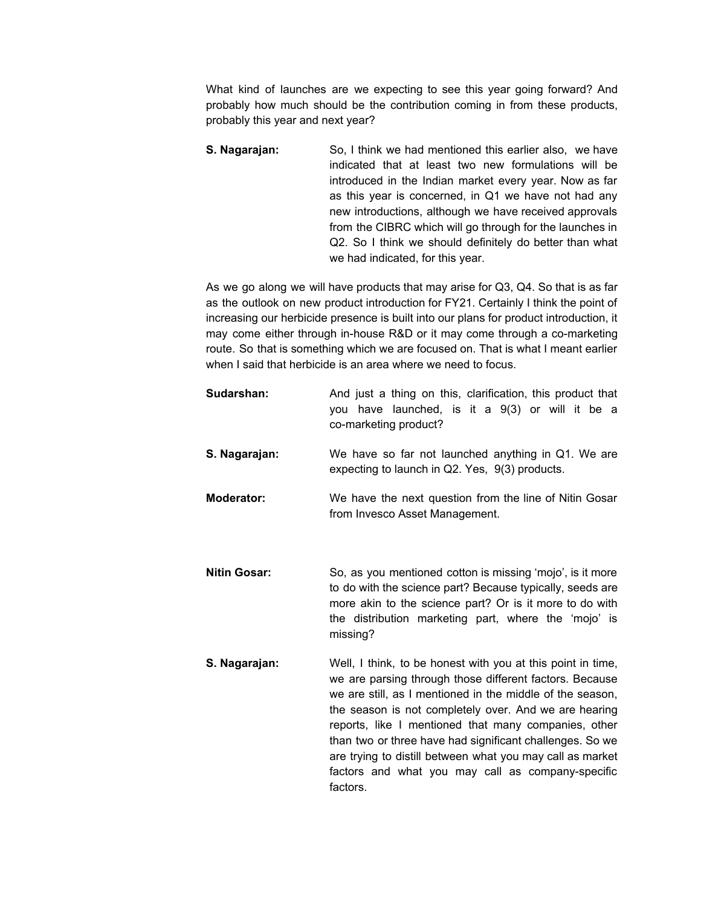What kind of launches are we expecting to see this year going forward? And probably how much should be the contribution coming in from these products, probably this year and next year?

**S. Nagarajan:** So, I think we had mentioned this earlier also, we have indicated that at least two new formulations will be introduced in the Indian market every year. Now as far as this year is concerned, in Q1 we have not had any new introductions, although we have received approvals from the CIBRC which will go through for the launches in Q2. So I think we should definitely do better than what we had indicated, for this year.

As we go along we will have products that may arise for Q3, Q4. So that is as far as the outlook on new product introduction for FY21. Certainly I think the point of increasing our herbicide presence is built into our plans for product introduction, it may come either through in-house R&D or it may come through a co-marketing route. So that is something which we are focused on. That is what I meant earlier when I said that herbicide is an area where we need to focus.

| Sudarshan:          | And just a thing on this, clarification, this product that<br>you have launched, is it a 9(3) or will it be a<br>co-marketing product?                                                                                                                                                                                                                                                                                                                                                         |
|---------------------|------------------------------------------------------------------------------------------------------------------------------------------------------------------------------------------------------------------------------------------------------------------------------------------------------------------------------------------------------------------------------------------------------------------------------------------------------------------------------------------------|
| S. Nagarajan:       | We have so far not launched anything in Q1. We are<br>expecting to launch in Q2. Yes, 9(3) products.                                                                                                                                                                                                                                                                                                                                                                                           |
| <b>Moderator:</b>   | We have the next question from the line of Nitin Gosar<br>from Invesco Asset Management.                                                                                                                                                                                                                                                                                                                                                                                                       |
| <b>Nitin Gosar:</b> | So, as you mentioned cotton is missing 'mojo', is it more<br>to do with the science part? Because typically, seeds are<br>more akin to the science part? Or is it more to do with<br>the distribution marketing part, where the 'mojo' is<br>missing?                                                                                                                                                                                                                                          |
| S. Nagarajan:       | Well, I think, to be honest with you at this point in time,<br>we are parsing through those different factors. Because<br>we are still, as I mentioned in the middle of the season,<br>the season is not completely over. And we are hearing<br>reports, like I mentioned that many companies, other<br>than two or three have had significant challenges. So we<br>are trying to distill between what you may call as market<br>factors and what you may call as company-specific<br>factors. |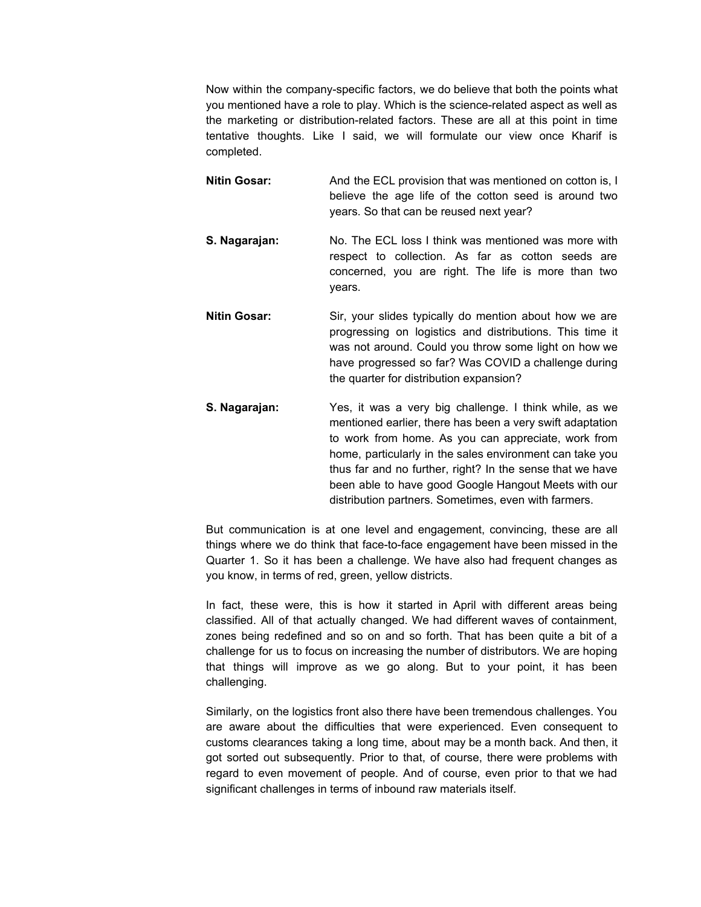Now within the company-specific factors, we do believe that both the points what you mentioned have a role to play. Which is the science-related aspect as well as the marketing or distribution-related factors. These are all at this point in time tentative thoughts. Like I said, we will formulate our view once Kharif is completed.

- **Nitin Gosar:** And the ECL provision that was mentioned on cotton is, I believe the age life of the cotton seed is around two years. So that can be reused next year?
- **S. Nagarajan:** No. The ECL loss I think was mentioned was more with respect to collection. As far as cotton seeds are concerned, you are right. The life is more than two years.
- **Nitin Gosar:** Sir, your slides typically do mention about how we are progressing on logistics and distributions. This time it was not around. Could you throw some light on how we have progressed so far? Was COVID a challenge during the quarter for distribution expansion?
- **S. Nagarajan:** Yes, it was a very big challenge. I think while, as we mentioned earlier, there has been a very swift adaptation to work from home. As you can appreciate, work from home, particularly in the sales environment can take you thus far and no further, right? In the sense that we have been able to have good Google Hangout Meets with our distribution partners. Sometimes, even with farmers.

But communication is at one level and engagement, convincing, these are all things where we do think that face-to-face engagement have been missed in the Quarter 1. So it has been a challenge. We have also had frequent changes as you know, in terms of red, green, yellow districts.

In fact, these were, this is how it started in April with different areas being classified. All of that actually changed. We had different waves of containment, zones being redefined and so on and so forth. That has been quite a bit of a challenge for us to focus on increasing the number of distributors. We are hoping that things will improve as we go along. But to your point, it has been challenging.

Similarly, on the logistics front also there have been tremendous challenges. You are aware about the difficulties that were experienced. Even consequent to customs clearances taking a long time, about may be a month back. And then, it got sorted out subsequently. Prior to that, of course, there were problems with regard to even movement of people. And of course, even prior to that we had significant challenges in terms of inbound raw materials itself.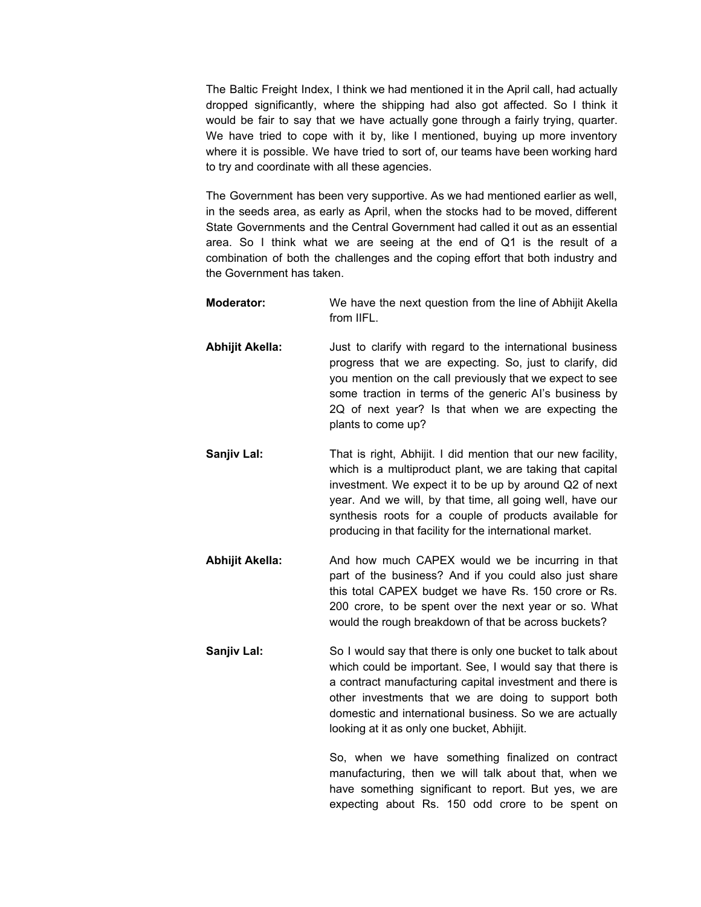The Baltic Freight Index, I think we had mentioned it in the April call, had actually dropped significantly, where the shipping had also got affected. So I think it would be fair to say that we have actually gone through a fairly trying, quarter. We have tried to cope with it by, like I mentioned, buying up more inventory where it is possible. We have tried to sort of, our teams have been working hard to try and coordinate with all these agencies.

The Government has been very supportive. As we had mentioned earlier as well, in the seeds area, as early as April, when the stocks had to be moved, different State Governments and the Central Government had called it out as an essential area. So I think what we are seeing at the end of Q1 is the result of a combination of both the challenges and the coping effort that both industry and the Government has taken.

| <b>Moderator:</b> | We have the next question from the line of Abhijit Akella<br>from IIFL.                                                                                                                                                                                                                                                                                                |
|-------------------|------------------------------------------------------------------------------------------------------------------------------------------------------------------------------------------------------------------------------------------------------------------------------------------------------------------------------------------------------------------------|
| Abhijit Akella:   | Just to clarify with regard to the international business<br>progress that we are expecting. So, just to clarify, did<br>you mention on the call previously that we expect to see<br>some traction in terms of the generic Al's business by<br>2Q of next year? Is that when we are expecting the<br>plants to come up?                                                |
| Sanjiv Lal:       | That is right, Abhijit. I did mention that our new facility,<br>which is a multiproduct plant, we are taking that capital<br>investment. We expect it to be up by around Q2 of next<br>year. And we will, by that time, all going well, have our<br>synthesis roots for a couple of products available for<br>producing in that facility for the international market. |
| Abhijit Akella:   | And how much CAPEX would we be incurring in that<br>part of the business? And if you could also just share<br>this total CAPEX budget we have Rs. 150 crore or Rs.<br>200 crore, to be spent over the next year or so. What<br>would the rough breakdown of that be across buckets?                                                                                    |
| Sanjiv Lal:       | So I would say that there is only one bucket to talk about<br>which could be important. See, I would say that there is<br>a contract manufacturing capital investment and there is<br>other investments that we are doing to support both<br>domestic and international business. So we are actually<br>looking at it as only one bucket, Abhijit.                     |
|                   | So, when we have something finalized on contract<br>manufacturing, then we will talk about that, when we                                                                                                                                                                                                                                                               |

have something significant to report. But yes, we are expecting about Rs. 150 odd crore to be spent on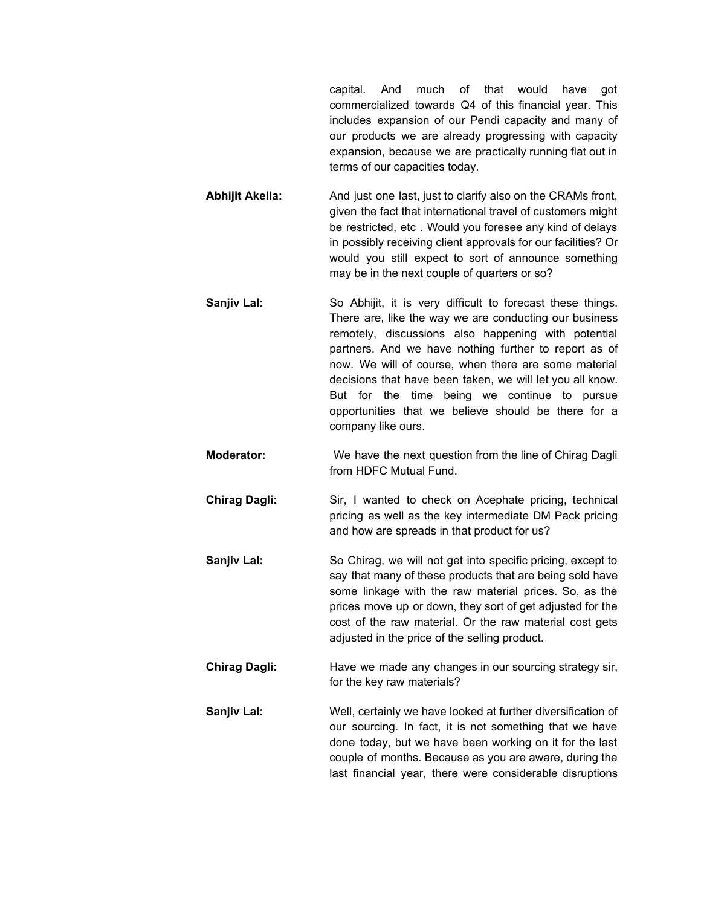capital. And much of that would have got commercialized towards Q4 of this financial year. This includes expansion of our Pendi capacity and many of our products we are already progressing with capacity expansion, because we are practically running flat out in terms of our capacities today.

- **Abhijit Akella:** And just one last, just to clarify also on the CRAMs front, given the fact that international travel of customers might be restricted, etc . Would you foresee any kind of delays in possibly receiving client approvals for our facilities? Or would you still expect to sort of announce something may be in the next couple of quarters or so?
- **Sanjiv Lal:** So Abhijit, it is very difficult to forecast these things. There are, like the way we are conducting our business remotely, discussions also happening with potential partners. And we have nothing further to report as of now. We will of course, when there are some material decisions that have been taken, we will let you all know. But for the time being we continue to pursue opportunities that we believe should be there for a company like ours.
- **Moderator:** We have the next question from the line of Chirag Dagli from HDFC Mutual Fund.
- **Chirag Dagli:** Sir, I wanted to check on Acephate pricing, technical pricing as well as the key intermediate DM Pack pricing and how are spreads in that product for us?
- **Sanjiv Lal:** So Chirag, we will not get into specific pricing, except to say that many of these products that are being sold have some linkage with the raw material prices. So, as the prices move up or down, they sort of get adjusted for the cost of the raw material. Or the raw material cost gets adjusted in the price of the selling product.
- **Chirag Dagli:** Have we made any changes in our sourcing strategy sir, for the key raw materials?
- **Sanjiv Lal:** Well, certainly we have looked at further diversification of our sourcing. In fact, it is not something that we have done today, but we have been working on it for the last couple of months. Because as you are aware, during the last financial year, there were considerable disruptions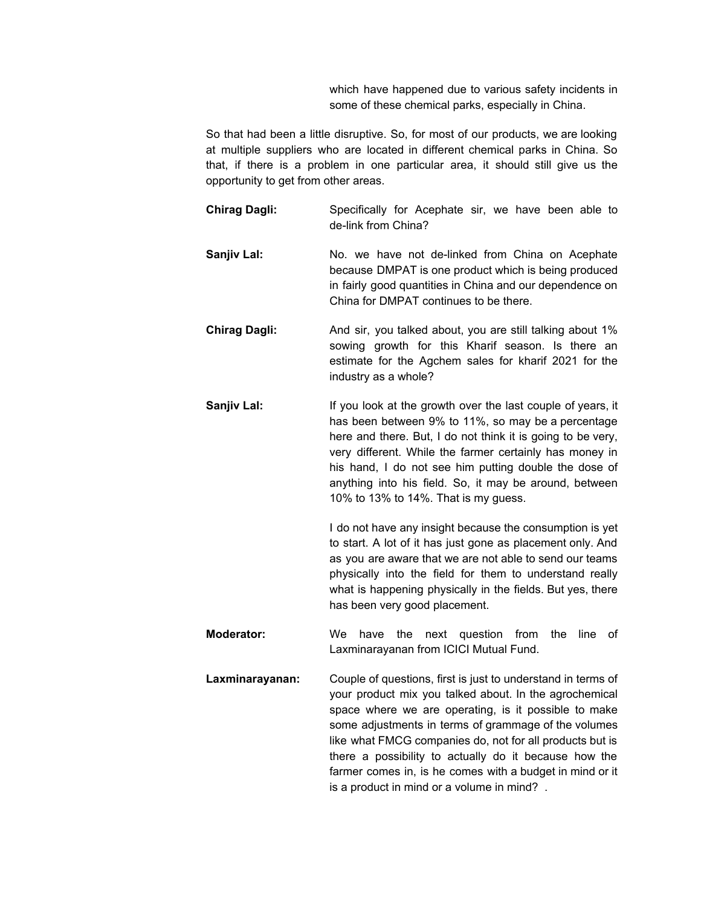which have happened due to various safety incidents in some of these chemical parks, especially in China.

So that had been a little disruptive. So, for most of our products, we are looking at multiple suppliers who are located in different chemical parks in China. So that, if there is a problem in one particular area, it should still give us the opportunity to get from other areas.

- **Chirag Dagli:** Specifically for Acephate sir, we have been able to de-link from China?
- **Sanjiv Lal:** No. we have not de-linked from China on Acephate because DMPAT is one product which is being produced in fairly good quantities in China and our dependence on China for DMPAT continues to be there.
- **Chirag Dagli:** And sir, you talked about, you are still talking about 1% sowing growth for this Kharif season. Is there an estimate for the Agchem sales for kharif 2021 for the industry as a whole?
- **Sanjiv Lal:** If you look at the growth over the last couple of years, it has been between 9% to 11%, so may be a percentage here and there. But, I do not think it is going to be very, very different. While the farmer certainly has money in his hand, I do not see him putting double the dose of anything into his field. So, it may be around, between 10% to 13% to 14%. That is my guess.

I do not have any insight because the consumption is yet to start. A lot of it has just gone as placement only. And as you are aware that we are not able to send our teams physically into the field for them to understand really what is happening physically in the fields. But yes, there has been very good placement.

- **Moderator:** We have the next question from the line of Laxminarayanan from ICICI Mutual Fund.
- **Laxminarayanan:** Couple of questions, first is just to understand in terms of your product mix you talked about. In the agrochemical space where we are operating, is it possible to make some adjustments in terms of grammage of the volumes like what FMCG companies do, not for all products but is there a possibility to actually do it because how the farmer comes in, is he comes with a budget in mind or it is a product in mind or a volume in mind? .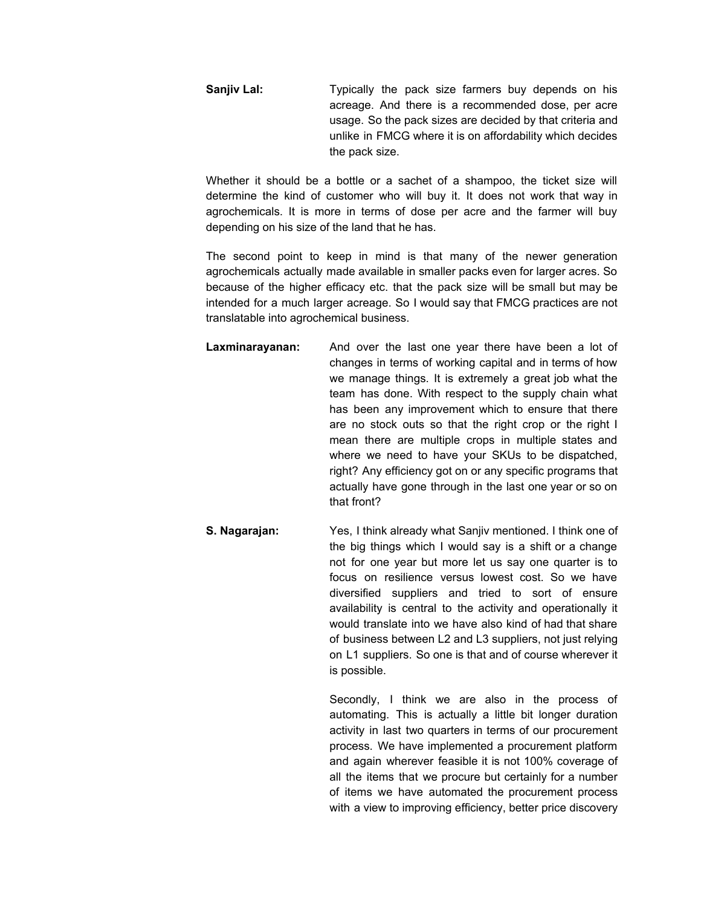**Sanjiv Lal:** Typically the pack size farmers buy depends on his acreage. And there is a recommended dose, per acre usage. So the pack sizes are decided by that criteria and unlike in FMCG where it is on affordability which decides the pack size.

Whether it should be a bottle or a sachet of a shampoo, the ticket size will determine the kind of customer who will buy it. It does not work that way in agrochemicals. It is more in terms of dose per acre and the farmer will buy depending on his size of the land that he has.

The second point to keep in mind is that many of the newer generation agrochemicals actually made available in smaller packs even for larger acres. So because of the higher efficacy etc. that the pack size will be small but may be intended for a much larger acreage. So I would say that FMCG practices are not translatable into agrochemical business.

- **Laxminarayanan:** And over the last one year there have been a lot of changes in terms of working capital and in terms of how we manage things. It is extremely a great job what the team has done. With respect to the supply chain what has been any improvement which to ensure that there are no stock outs so that the right crop or the right I mean there are multiple crops in multiple states and where we need to have your SKUs to be dispatched, right? Any efficiency got on or any specific programs that actually have gone through in the last one year or so on that front?
- **S. Nagarajan:** Yes, I think already what Sanjiv mentioned. I think one of the big things which I would say is a shift or a change not for one year but more let us say one quarter is to focus on resilience versus lowest cost. So we have diversified suppliers and tried to sort of ensure availability is central to the activity and operationally it would translate into we have also kind of had that share of business between L2 and L3 suppliers, not just relying on L1 suppliers. So one is that and of course wherever it is possible.

Secondly, I think we are also in the process of automating. This is actually a little bit longer duration activity in last two quarters in terms of our procurement process. We have implemented a procurement platform and again wherever feasible it is not 100% coverage of all the items that we procure but certainly for a number of items we have automated the procurement process with a view to improving efficiency, better price discovery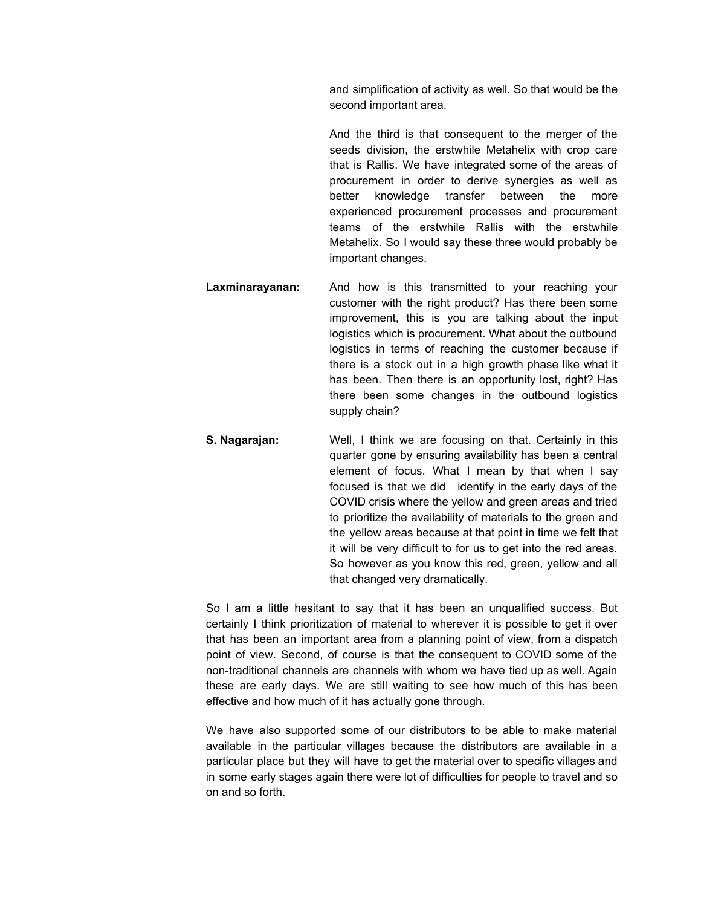and simplification of activity as well. So that would be the second important area.

And the third is that consequent to the merger of the seeds division, the erstwhile Metahelix with crop care that is Rallis. We have integrated some of the areas of procurement in order to derive synergies as well as better knowledge transfer between the more experienced procurement processes and procurement teams of the erstwhile Rallis with the erstwhile Metahelix. So I would say these three would probably be important changes.

- **Laxminarayanan:** And how is this transmitted to your reaching your customer with the right product? Has there been some improvement, this is you are talking about the input logistics which is procurement. What about the outbound logistics in terms of reaching the customer because if there is a stock out in a high growth phase like what it has been. Then there is an opportunity lost, right? Has there been some changes in the outbound logistics supply chain?
- **S. Nagarajan:** Well, I think we are focusing on that. Certainly in this quarter gone by ensuring availability has been a central element of focus. What I mean by that when I say focused is that we did identify in the early days of the COVID crisis where the yellow and green areas and tried to prioritize the availability of materials to the green and the yellow areas because at that point in time we felt that it will be very difficult to for us to get into the red areas. So however as you know this red, green, yellow and all that changed very dramatically.

So I am a little hesitant to say that it has been an unqualified success. But certainly I think prioritization of material to wherever it is possible to get it over that has been an important area from a planning point of view, from a dispatch point of view. Second, of course is that the consequent to COVID some of the non-traditional channels are channels with whom we have tied up as well. Again these are early days. We are still waiting to see how much of this has been effective and how much of it has actually gone through.

We have also supported some of our distributors to be able to make material available in the particular villages because the distributors are available in a particular place but they will have to get the material over to specific villages and in some early stages again there were lot of difficulties for people to travel and so on and so forth.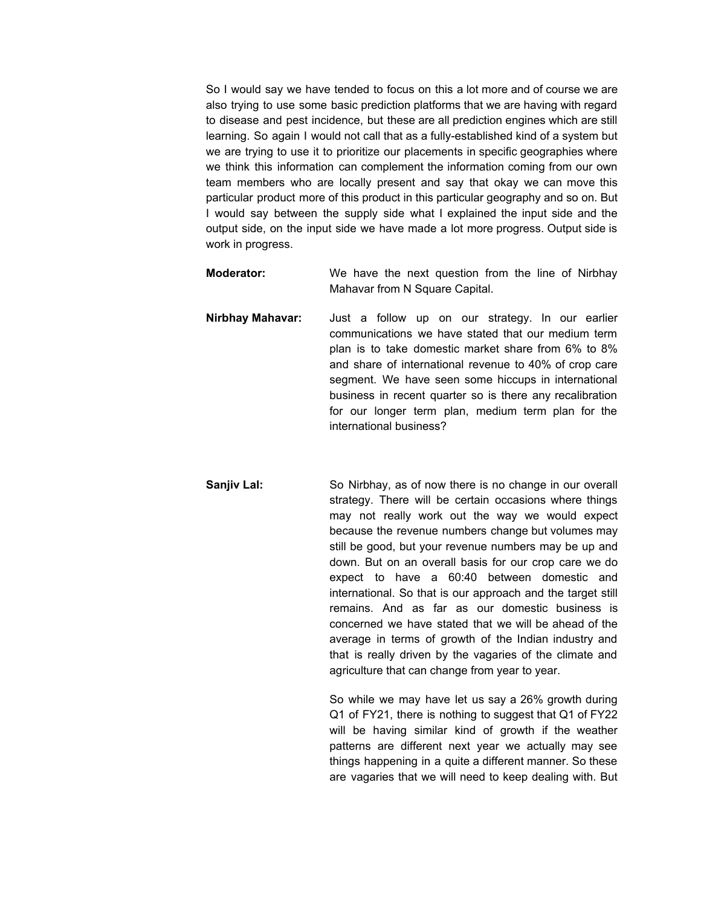So I would say we have tended to focus on this a lot more and of course we are also trying to use some basic prediction platforms that we are having with regard to disease and pest incidence, but these are all prediction engines which are still learning. So again I would not call that as a fully-established kind of a system but we are trying to use it to prioritize our placements in specific geographies where we think this information can complement the information coming from our own team members who are locally present and say that okay we can move this particular product more of this product in this particular geography and so on. But I would say between the supply side what I explained the input side and the output side, on the input side we have made a lot more progress. Output side is work in progress.

- **Moderator:** We have the next question from the line of Nirbhay Mahavar from N Square Capital.
- **Nirbhay Mahavar:** Just a follow up on our strategy. In our earlier communications we have stated that our medium term plan is to take domestic market share from 6% to 8% and share of international revenue to 40% of crop care segment. We have seen some hiccups in international business in recent quarter so is there any recalibration for our longer term plan, medium term plan for the international business?
- **Sanjiv Lal:** So Nirbhay, as of now there is no change in our overall strategy. There will be certain occasions where things may not really work out the way we would expect because the revenue numbers change but volumes may still be good, but your revenue numbers may be up and down. But on an overall basis for our crop care we do expect to have a 60:40 between domestic and international. So that is our approach and the target still remains. And as far as our domestic business is concerned we have stated that we will be ahead of the average in terms of growth of the Indian industry and that is really driven by the vagaries of the climate and agriculture that can change from year to year.

So while we may have let us say a 26% growth during Q1 of FY21, there is nothing to suggest that Q1 of FY22 will be having similar kind of growth if the weather patterns are different next year we actually may see things happening in a quite a different manner. So these are vagaries that we will need to keep dealing with. But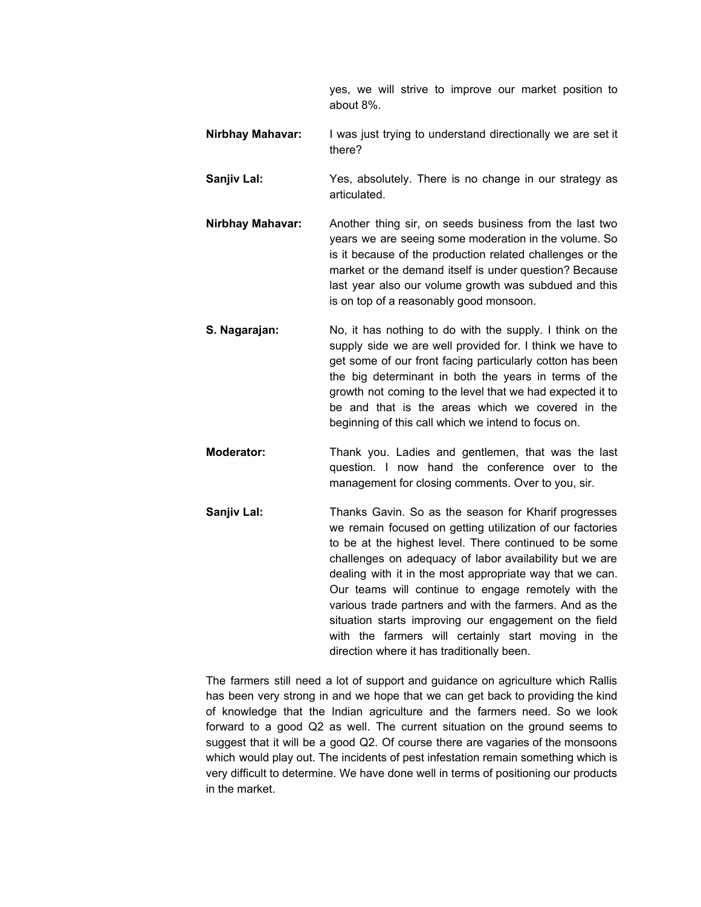yes, we will strive to improve our market position to about 8%.

- **Nirbhay Mahavar:** I was just trying to understand directionally we are set it there?
- **Sanjiv Lal:** Yes, absolutely. There is no change in our strategy as articulated.
- **Nirbhay Mahavar:** Another thing sir, on seeds business from the last two years we are seeing some moderation in the volume. So is it because of the production related challenges or the market or the demand itself is under question? Because last year also our volume growth was subdued and this is on top of a reasonably good monsoon.
- **S. Nagarajan:** No, it has nothing to do with the supply. I think on the supply side we are well provided for. I think we have to get some of our front facing particularly cotton has been the big determinant in both the years in terms of the growth not coming to the level that we had expected it to be and that is the areas which we covered in the beginning of this call which we intend to focus on.
- **Moderator:** Thank you. Ladies and gentlemen, that was the last question. I now hand the conference over to the management for closing comments. Over to you, sir.
- **Sanjiv Lal:** Thanks Gavin. So as the season for Kharif progresses we remain focused on getting utilization of our factories to be at the highest level. There continued to be some challenges on adequacy of labor availability but we are dealing with it in the most appropriate way that we can. Our teams will continue to engage remotely with the various trade partners and with the farmers. And as the situation starts improving our engagement on the field with the farmers will certainly start moving in the direction where it has traditionally been.

The farmers still need a lot of support and guidance on agriculture which Rallis has been very strong in and we hope that we can get back to providing the kind of knowledge that the Indian agriculture and the farmers need. So we look forward to a good Q2 as well. The current situation on the ground seems to suggest that it will be a good Q2. Of course there are vagaries of the monsoons which would play out. The incidents of pest infestation remain something which is very difficult to determine. We have done well in terms of positioning our products in the market.